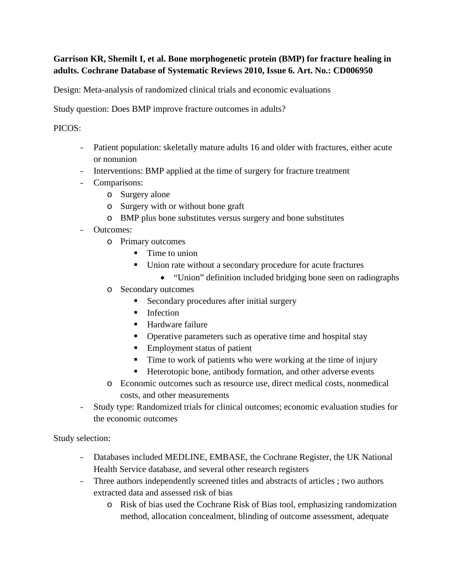# **Garrison KR, Shemilt I, et al. Bone morphogenetic protein (BMP) for fracture healing in adults. Cochrane Database of Systematic Reviews 2010, Issue 6. Art. No.: CD006950**

Design: Meta-analysis of randomized clinical trials and economic evaluations

Study question: Does BMP improve fracture outcomes in adults?

### PICOS:

- Patient population: skeletally mature adults 16 and older with fractures, either acute or nonunion
- Interventions: BMP applied at the time of surgery for fracture treatment
- Comparisons:
	- o Surgery alone
	- o Surgery with or without bone graft
	- o BMP plus bone substitutes versus surgery and bone substitutes
- Outcomes:
	- o Primary outcomes
		- $\blacksquare$  Time to union
		- Union rate without a secondary procedure for acute fractures
			- "Union" definition included bridging bone seen on radiographs
	- o Secondary outcomes
		- Secondary procedures after initial surgery
		- $\blacksquare$  Infection
		- Hardware failure
		- Operative parameters such as operative time and hospital stay
		- Employment status of patient
		- Time to work of patients who were working at the time of injury
		- Heterotopic bone, antibody formation, and other adverse events
	- o Economic outcomes such as resource use, direct medical costs, nonmedical costs, and other measurements
- Study type: Randomized trials for clinical outcomes; economic evaluation studies for the economic outcomes

Study selection:

- Databases included MEDLINE, EMBASE, the Cochrane Register, the UK National Health Service database, and several other research registers
- Three authors independently screened titles and abstracts of articles ; two authors extracted data and assessed risk of bias
	- o Risk of bias used the Cochrane Risk of Bias tool, emphasizing randomization method, allocation concealment, blinding of outcome assessment, adequate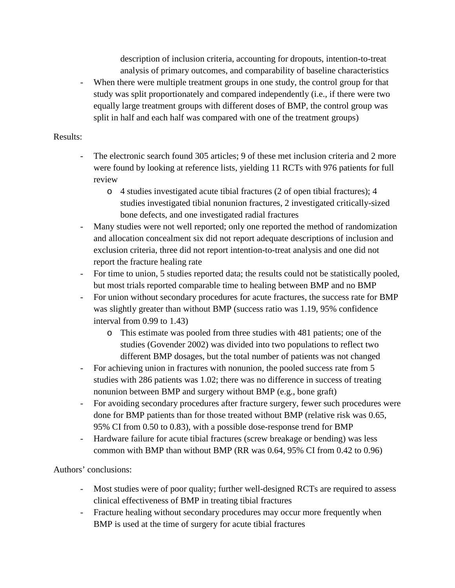description of inclusion criteria, accounting for dropouts, intention-to-treat analysis of primary outcomes, and comparability of baseline characteristics

When there were multiple treatment groups in one study, the control group for that study was split proportionately and compared independently (i.e., if there were two equally large treatment groups with different doses of BMP, the control group was split in half and each half was compared with one of the treatment groups)

### Results:

- The electronic search found 305 articles; 9 of these met inclusion criteria and 2 more were found by looking at reference lists, yielding 11 RCTs with 976 patients for full review
	- o 4 studies investigated acute tibial fractures (2 of open tibial fractures); 4 studies investigated tibial nonunion fractures, 2 investigated critically-sized bone defects, and one investigated radial fractures
- Many studies were not well reported; only one reported the method of randomization and allocation concealment six did not report adequate descriptions of inclusion and exclusion criteria, three did not report intention-to-treat analysis and one did not report the fracture healing rate
- For time to union, 5 studies reported data; the results could not be statistically pooled, but most trials reported comparable time to healing between BMP and no BMP
- For union without secondary procedures for acute fractures, the success rate for BMP was slightly greater than without BMP (success ratio was 1.19, 95% confidence interval from 0.99 to 1.43)
	- o This estimate was pooled from three studies with 481 patients; one of the studies (Govender 2002) was divided into two populations to reflect two different BMP dosages, but the total number of patients was not changed
- For achieving union in fractures with nonunion, the pooled success rate from 5 studies with 286 patients was 1.02; there was no difference in success of treating nonunion between BMP and surgery without BMP (e.g., bone graft)
- For avoiding secondary procedures after fracture surgery, fewer such procedures were done for BMP patients than for those treated without BMP (relative risk was 0.65, 95% CI from 0.50 to 0.83), with a possible dose-response trend for BMP
- Hardware failure for acute tibial fractures (screw breakage or bending) was less common with BMP than without BMP (RR was 0.64, 95% CI from 0.42 to 0.96)

Authors' conclusions:

- Most studies were of poor quality; further well-designed RCTs are required to assess clinical effectiveness of BMP in treating tibial fractures
- Fracture healing without secondary procedures may occur more frequently when BMP is used at the time of surgery for acute tibial fractures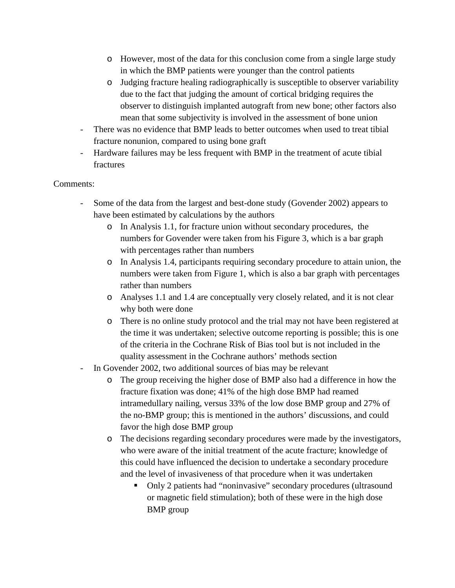- o However, most of the data for this conclusion come from a single large study in which the BMP patients were younger than the control patients
- o Judging fracture healing radiographically is susceptible to observer variability due to the fact that judging the amount of cortical bridging requires the observer to distinguish implanted autograft from new bone; other factors also mean that some subjectivity is involved in the assessment of bone union
- There was no evidence that BMP leads to better outcomes when used to treat tibial fracture nonunion, compared to using bone graft
- Hardware failures may be less frequent with BMP in the treatment of acute tibial fractures

## Comments:

- Some of the data from the largest and best-done study (Govender 2002) appears to have been estimated by calculations by the authors
	- o In Analysis 1.1, for fracture union without secondary procedures, the numbers for Govender were taken from his Figure 3, which is a bar graph with percentages rather than numbers
	- o In Analysis 1.4, participants requiring secondary procedure to attain union, the numbers were taken from Figure 1, which is also a bar graph with percentages rather than numbers
	- o Analyses 1.1 and 1.4 are conceptually very closely related, and it is not clear why both were done
	- o There is no online study protocol and the trial may not have been registered at the time it was undertaken; selective outcome reporting is possible; this is one of the criteria in the Cochrane Risk of Bias tool but is not included in the quality assessment in the Cochrane authors' methods section
- In Govender 2002, two additional sources of bias may be relevant
	- o The group receiving the higher dose of BMP also had a difference in how the fracture fixation was done; 41% of the high dose BMP had reamed intramedullary nailing, versus 33% of the low dose BMP group and 27% of the no-BMP group; this is mentioned in the authors' discussions, and could favor the high dose BMP group
	- o The decisions regarding secondary procedures were made by the investigators, who were aware of the initial treatment of the acute fracture; knowledge of this could have influenced the decision to undertake a secondary procedure and the level of invasiveness of that procedure when it was undertaken
		- Only 2 patients had "noninvasive" secondary procedures (ultrasound or magnetic field stimulation); both of these were in the high dose BMP group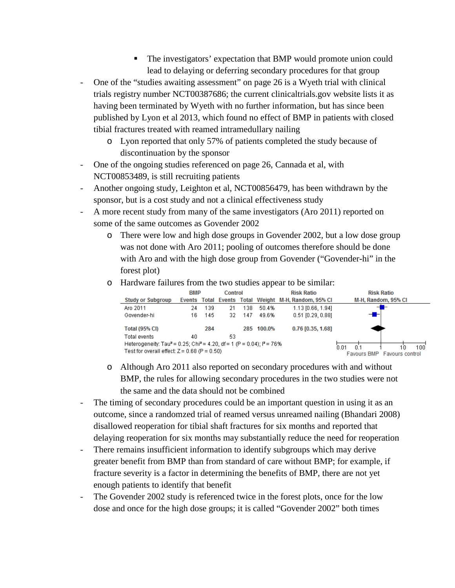- The investigators' expectation that BMP would promote union could lead to delaying or deferring secondary procedures for that group
- One of the "studies awaiting assessment" on page 26 is a Wyeth trial with clinical trials registry number NCT00387686; the current clinicaltrials.gov website lists it as having been terminated by Wyeth with no further information, but has since been published by Lyon et al 2013, which found no effect of BMP in patients with closed tibial fractures treated with reamed intramedullary nailing
	- o Lyon reported that only 57% of patients completed the study because of discontinuation by the sponsor
- One of the ongoing studies referenced on page 26, Cannada et al, with NCT00853489, is still recruiting patients
- Another ongoing study, Leighton et al, NCT00856479, has been withdrawn by the sponsor, but is a cost study and not a clinical effectiveness study
- A more recent study from many of the same investigators (Aro 2011) reported on some of the same outcomes as Govender 2002
	- o There were low and high dose groups in Govender 2002, but a low dose group was not done with Aro 2011; pooling of outcomes therefore should be done with Aro and with the high dose group from Govender ("Govender-hi" in the forest plot)
	- $\circ$  Hardware failures from the two studies appear to be similar:<br> $\frac{BMP}{C}$  control Risk Ratio



- o Although Aro 2011 also reported on secondary procedures with and without BMP, the rules for allowing secondary procedures in the two studies were not the same and the data should not be combined
- The timing of secondary procedures could be an important question in using it as an outcome, since a randomzed trial of reamed versus unreamed nailing (Bhandari 2008) disallowed reoperation for tibial shaft fractures for six months and reported that delaying reoperation for six months may substantially reduce the need for reoperation
- There remains insufficient information to identify subgroups which may derive greater benefit from BMP than from standard of care without BMP; for example, if fracture severity is a factor in determining the benefits of BMP, there are not yet enough patients to identify that benefit
- The Govender 2002 study is referenced twice in the forest plots, once for the low dose and once for the high dose groups; it is called "Govender 2002" both times